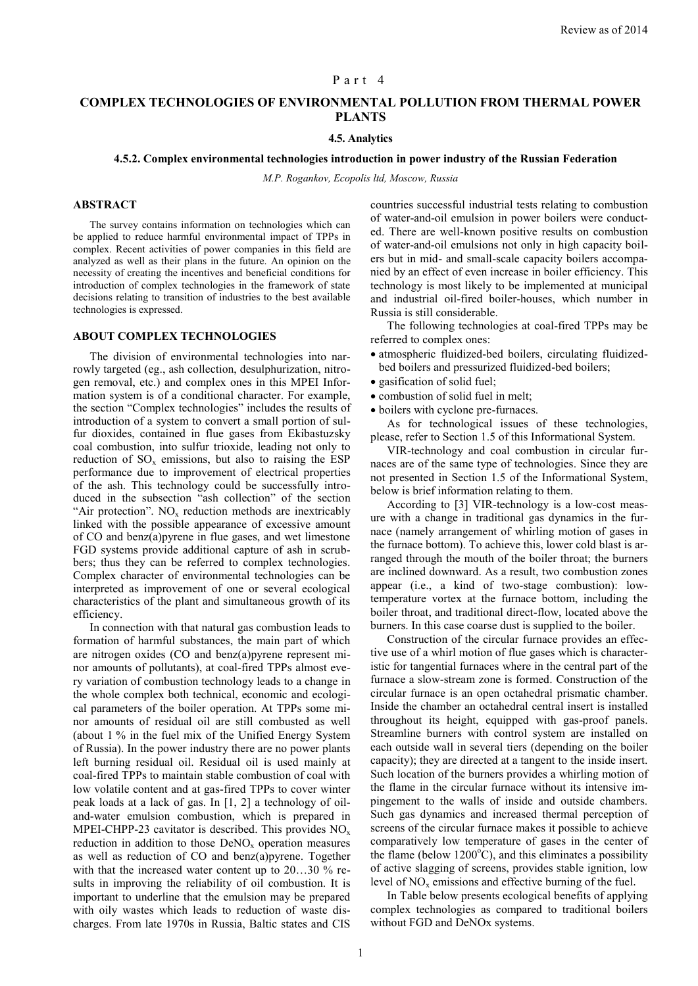### Part 4

# **COMPLEX TECHNOLOGIES OF ENVIRONMENTAL POLLUTION FROM THERMAL POWER PLANTS**

## **4.5. Analytics**

### **4.5.2. Complex environmental technologies introduction in power industry of the Russian Federation**

*М.P. Rogankov, Ecopolis ltd, Moscow, Russia*

# **ABSTRACT**

The survey contains information on technologies which can be applied to reduce harmful environmental impact of TPPs in complex. Recent activities of power companies in this field are analyzed as well as their plans in the future. An opinion on the necessity of creating the incentives and beneficial conditions for introduction of complex technologies in the framework of state decisions relating to transition of industries to the best available technologies is expressed.

#### **ABOUT COMPLEX TECHNOLOGIES**

The division of environmental technologies into narrowly targeted (eg., ash collection, desulphurization, nitrogen removal, etc.) and complex ones in this MPEI Information system is of a conditional character. For example, the section "Complex technologies" includes the results of introduction of a system to convert a small portion of sulfur dioxides, contained in flue gases from Ekibastuzsky coal combustion, into sulfur trioxide, leading not only to reduction of  $SO_x$  emissions, but also to raising the ESP performance due to improvement of electrical properties of the ash. This technology could be successfully introduced in the subsection "ash collection" of the section "Air protection".  $NO<sub>x</sub>$  reduction methods are inextricably linked with the possible appearance of excessive amount of CO and benz(a)pyrene in flue gases, and wet limestone FGD systems provide additional capture of ash in scrubbers; thus they can be referred to complex technologies. Complex character of environmental technologies can be interpreted as improvement of one or several ecological characteristics of the plant and simultaneous growth of its efficiency.

In connection with that natural gas combustion leads to formation of harmful substances, the main part of which are nitrogen oxides (CO and benz(a)pyrene represent minor amounts of pollutants), at coal-fired TPPs almost every variation of combustion technology leads to a change in the whole complex both technical, economic and ecological parameters of the boiler operation. At TPPs some minor amounts of residual oil are still combusted as well (about 1 % in the fuel mix of the Unified Energy System of Russia). In the power industry there are no power plants left burning residual oil. Residual oil is used mainly at coal-fired TPPs to maintain stable combustion of coal with low volatile content and at gas-fired TPPs to cover winter peak loads at a lack of gas. In [1, 2] a technology of oiland-water emulsion combustion, which is prepared in MPEI-CHPP-23 cavitator is described. This provides  $NO<sub>x</sub>$ reduction in addition to those  $DeNO<sub>x</sub>$  operation measures as well as reduction of CO and benz(a)pyrene. Together with that the increased water content up to 20...30 % results in improving the reliability of oil combustion. It is important to underline that the emulsion may be prepared with oily wastes which leads to reduction of waste discharges. From late 1970s in Russia, Baltic states and CIS

countries successful industrial tests relating to combustion of water-and-oil emulsion in power boilers were conducted. There are well-known positive results on combustion of water-and-oil emulsions not only in high capacity boilers but in mid- and small-scale capacity boilers accompanied by an effect of even increase in boiler efficiency. This technology is most likely to be implemented at municipal and industrial oil-fired boiler-houses, which number in Russia is still considerable.

The following technologies at coal-fired TPPs may be referred to complex ones:

- atmospheric fluidized-bed boilers, circulating fluidizedbed boilers and pressurized fluidized-bed boilers;
- $\bullet$  gasification of solid fuel:
- combustion of solid fuel in melt:
- boilers with cyclone pre-furnaces.

As for technological issues of these technologies, please, refer to Section 1.5 of this Informational System.

VIR-technology and coal combustion in circular furnaces are of the same type of technologies. Since they are not presented in Section 1.5 of the Informational System, below is brief information relating to them.

According to [3] VIR-technology is a low-cost measure with a change in traditional gas dynamics in the furnace (namely arrangement of whirling motion of gases in the furnace bottom). To achieve this, lower cold blast is arranged through the mouth of the boiler throat; the burners are inclined downward. As a result, two combustion zones appear (i.e., a kind of two-stage combustion): lowtemperature vortex at the furnace bottom, including the boiler throat, and traditional direct-flow, located above the burners. In this case coarse dust is supplied to the boiler.

Construction of the circular furnace provides an effective use of a whirl motion of flue gases which is characteristic for tangential furnaces where in the central part of the furnace a slow-stream zone is formed. Construction of the circular furnace is an open octahedral prismatic chamber. Inside the chamber an octahedral central insert is installed throughout its height, equipped with gas-proof panels. Streamline burners with control system are installed on each outside wall in several tiers (depending on the boiler capacity); they are directed at a tangent to the inside insert. Such location of the burners provides a whirling motion of the flame in the circular furnace without its intensive impingement to the walls of inside and outside chambers. Such gas dynamics and increased thermal perception of screens of the circular furnace makes it possible to achieve comparatively low temperature of gases in the center of the flame (below  $1200^{\circ}$ C), and this eliminates a possibility of active slagging of screens, provides stable ignition, low level of  $NO<sub>x</sub>$  emissions and effective burning of the fuel.

In Table below presents ecological benefits of applying complex technologies as compared to traditional boilers without FGD and DeNOx systems.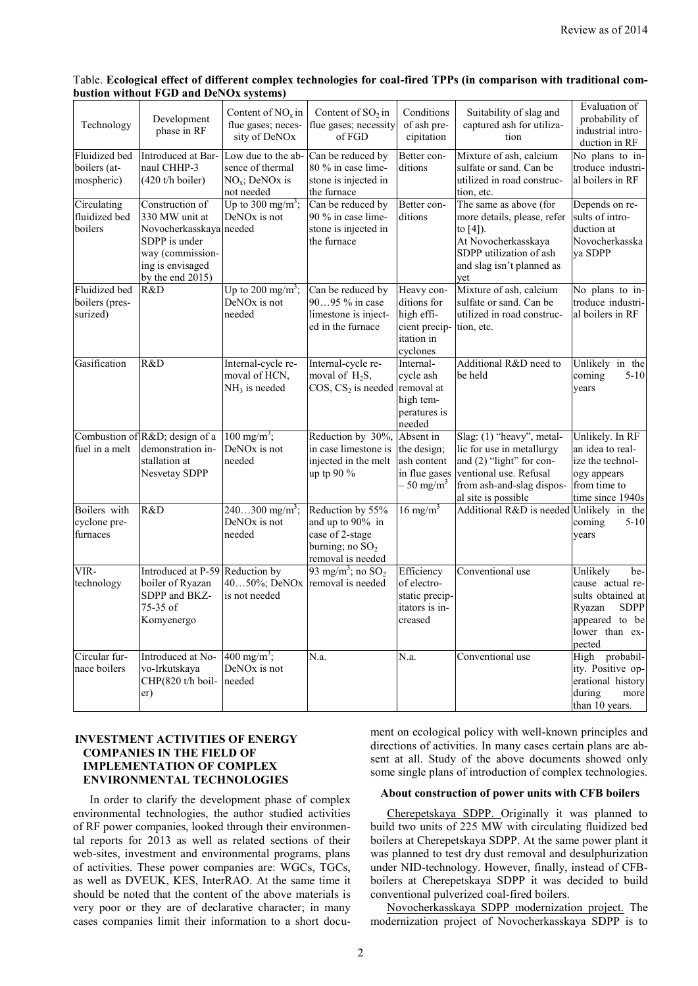| Table. Ecological effect of different complex technologies for coal-fired TPPs (in comparison with traditional com- |  |  |
|---------------------------------------------------------------------------------------------------------------------|--|--|
| bustion without FGD and DeNOx systems)                                                                              |  |  |

| Technology                                         | Development<br>phase in RF                                                                                                                   | Content of $NOx$ in<br>flue gases; neces-<br>sity of DeNOx               | Content of $SO_2$ in<br>flue gases; necessity<br>of FGD                                           | Conditions<br>of ash pre-<br>cipitation                                             | Suitability of slag and<br>captured ash for utiliza-<br>tion                                                                                                     | Evaluation of<br>probability of<br>industrial intro-<br>duction in RF                                                           |
|----------------------------------------------------|----------------------------------------------------------------------------------------------------------------------------------------------|--------------------------------------------------------------------------|---------------------------------------------------------------------------------------------------|-------------------------------------------------------------------------------------|------------------------------------------------------------------------------------------------------------------------------------------------------------------|---------------------------------------------------------------------------------------------------------------------------------|
| <b>Fluidized</b> bed<br>boilers (at-<br>mospheric) | Introduced at Bar-<br>naul CHHP-3<br>$(420$ t/h boiler)                                                                                      | Low due to the ab-<br>sence of thermal<br>$NOx$ ; DeNOx is<br>not needed | Can be reduced by<br>80 % in case lime-<br>stone is injected in<br>the furnace                    | Better con-<br>ditions                                                              | Mixture of ash, calcium<br>sulfate or sand. Can be<br>utilized in road construc-<br>tion, etc.                                                                   | No plans to in-<br>troduce industri-<br>al boilers in RF                                                                        |
| Circulating<br>fluidized bed<br>boilers            | Construction of<br>330 MW unit at<br>Novocherkasskaya needed<br>SDPP is under<br>way (commission-<br>ing is envisaged<br>by the end $2015$ ) | Up to 300 mg/m <sup>3</sup> ;<br>DeNO <sub>x</sub> is not                | Can be reduced by<br>90 % in case lime-<br>stone is injected in<br>the furnace                    | Better con-<br>ditions                                                              | The same as above (for<br>more details, please, refer<br>to $[4]$ ).<br>At Novocherkasskaya<br>SDPP utilization of ash<br>and slag isn't planned as<br>yet       | Depends on re-<br>sults of intro-<br>duction at<br>Novocherkasska<br>ya SDPP                                                    |
| Fluidized bed<br>boilers (pres-<br>surized)        | R&D                                                                                                                                          | Up to 200 mg/m <sup>3</sup> ;<br>DeNO <sub>x</sub> is not<br>needed      | Can be reduced by<br>9095 % in case<br>limestone is inject-<br>ed in the furnace                  | Heavy con-<br>ditions for<br>high effi-<br>cient precip-<br>itation in<br>cyclones  | Mixture of ash, calcium<br>sulfate or sand. Can be<br>utilized in road construc-<br>tion, etc.                                                                   | $\overline{\text{No}}$ plans to in-<br>troduce industri-<br>al boilers in RF                                                    |
| Gasification                                       | R&D                                                                                                                                          | Internal-cycle re-<br>moval of HCN,<br>$NH3$ is needed                   | Internal-cycle re-<br>moval of $H_2S$ ,<br>$\cos$ , $\cos_2$ is needed removal at                 | Internal-<br>cycle ash<br>high tem-<br>peratures is<br>needed                       | Additional R&D need to<br>be held                                                                                                                                | Unlikely in the<br>coming<br>$5 - 10$<br>years                                                                                  |
| fuel in a melt                                     | Combustion of R&D design of a<br>demonstration in-<br>stallation at<br>Nesvetay SDPP                                                         | $100 \text{ mg/m}^3$ ;<br>DeNO <sub>x</sub> is not<br>needed             | Reduction by 30%,<br>in case limestone is<br>injected in the melt<br>up tp 90 %                   | Absent in<br>the design;<br>ash content<br>in flue gases<br>$-50$ mg/m <sup>3</sup> | Slag: (1) "heavy", metal-<br>lic for use in metallurgy<br>and (2) "light" for con-<br>ventional use. Refusal<br>from ash-and-slag dispos-<br>al site is possible | Unlikely. In RF<br>an idea to real-<br>ize the technol-<br>ogy appears<br>from time to<br>time since 1940s                      |
| Boilers with<br>cyclone pre-<br>furnaces           | R&D                                                                                                                                          | $240300$ mg/m <sup>3</sup> ;<br>DeNO <sub>x</sub> is not<br>needed       | Reduction by 55%<br>and up to 90% in<br>case of 2-stage<br>burning; no $SO2$<br>removal is needed | $16 \text{ mg/m}^3$                                                                 | Additional R&D is needed Unlikely in the                                                                                                                         | coming<br>$5 - 10$<br>years                                                                                                     |
| VIR-<br>technology                                 | Introduced at P-59<br>boiler of Ryazan<br>SDPP and BKZ-<br>75-35 of<br>Komyenergo                                                            | Reduction by<br>4050%; DeNOx<br>is not needed                            | 93 mg/m <sup>3</sup> ; no $SO_2$<br>removal is needed                                             | Efficiency<br>of electro-<br>static precip-<br>itators is in-<br>creased            | Conventional use                                                                                                                                                 | Unlikely<br>be-<br>cause actual re-<br>sults obtained at<br><b>SDPP</b><br>Ryazan<br>appeared to be<br>lower than ex-<br>pected |
| Circular fur-<br>nace boilers                      | Introduced at No-<br>vo-Irkutskava<br>CHP(820 t/h boil-<br>er)                                                                               | 400 mg/m <sup>3</sup> ;<br>DeNO <sub>x</sub> is not<br>needed            | N.a.                                                                                              | N.a.                                                                                | Conventional use                                                                                                                                                 | High<br>probabil-<br>ity. Positive op-<br>erational history<br>during<br>more<br>than 10 years.                                 |

# **INVESTMENT ACTIVITIES OF ENERGY COMPANIES IN THE FIELD OF IMPLEMENTATION OF COMPLEX ENVIRONMENTAL TECHNOLOGIES**

In order to clarify the development phase of complex environmental technologies, the author studied activities of RF power companies, looked through their environmental reports for 2013 as well as related sections of their web-sites, investment and environmental programs, plans of activities. These power companies are: WGCs, TGCs, as well as DVEUK, KES, InterRAO. At the same time it should be noted that the content of the above materials is very poor or they are of declarative character; in many cases companies limit their information to a short document on ecological policy with well-known principles and directions of activities. In many cases certain plans are absent at all. Study of the above documents showed only some single plans of introduction of complex technologies.

## **About construction of power units with CFB boilers**

Cherepetskaya SDPP. Originally it was planned to build two units of 225 MW with circulating fluidized bed boilers at Cherepetskaya SDPP. At the same power plant it was planned to test dry dust removal and desulphurization under NID-technology. However, finally, instead of CFBboilers at Cherepetskaya SDPP it was decided to build conventional pulverized coal-fired boilers.

Novocherkasskaya SDPP modernization project. The modernization project of Novocherkasskaya SDPP is to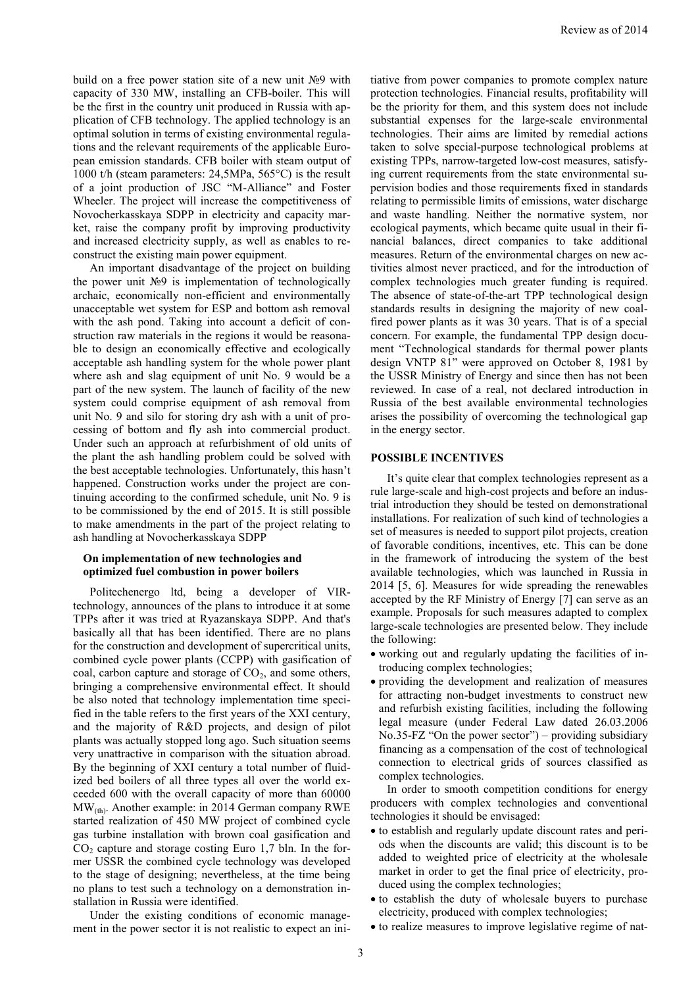build on a free power station site of a new unit №9 with capacity of 330 MW, installing an CFB-boiler. This will be the first in the country unit produced in Russia with application of CFB technology. The applied technology is an optimal solution in terms of existing environmental regulations and the relevant requirements of the applicable European emission standards. CFB boiler with steam output of 1000 t/h (steam parameters: 24,5MPa, 565°C) is the result of a joint production of JSC "M-Alliance" and Foster Wheeler. The project will increase the competitiveness of Novocherkasskaya SDPP in electricity and capacity market, raise the company profit by improving productivity and increased electricity supply, as well as enables to reconstruct the existing main power equipment.

An important disadvantage of the project on building the power unit №9 is implementation of technologically archaic, economically non-efficient and environmentally unacceptable wet system for ESP and bottom ash removal with the ash pond. Taking into account a deficit of construction raw materials in the regions it would be reasonable to design an economically effective and ecologically acceptable ash handling system for the whole power plant where ash and slag equipment of unit No. 9 would be a part of the new system. The launch of facility of the new system could comprise equipment of ash removal from unit No. 9 and silo for storing dry ash with a unit of processing of bottom and fly ash into commercial product. Under such an approach at refurbishment of old units of the plant the ash handling problem could be solved with the best acceptable technologies. Unfortunately, this hasn't happened. Construction works under the project are continuing according to the confirmed schedule, unit No. 9 is to be commissioned by the end of 2015. It is still possible to make amendments in the part of the project relating to ash handling at Novocherkasskaya SDPP

# **On implementation of new technologies and optimized fuel combustion in power boilers**

Politechenergo ltd, being a developer of VIRtechnology, announces of the plans to introduce it at some TPPs after it was tried at Ryazanskaya SDPP. And that's basically all that has been identified. There are no plans for the construction and development of supercritical units, combined cycle power plants (CCPP) with gasification of coal, carbon capture and storage of  $CO<sub>2</sub>$ , and some others, bringing a comprehensive environmental effect. It should be also noted that technology implementation time specified in the table refers to the first years of the XXI century, and the majority of R&D projects, and design of pilot plants was actually stopped long ago. Such situation seems very unattractive in comparison with the situation abroad. By the beginning of ХХI century a total number of fluidized bed boilers of all three types all over the world exceeded 600 with the overall capacity of more than 60000 МW(th) . Another example: in 2014 German company RWE started realization of 450 МW project of combined cycle gas turbine installation with brown coal gasification and  $CO<sub>2</sub>$  capture and storage costing Euro 1,7 bln. In the former USSR the combined cycle technology was developed to the stage of designing; nevertheless, at the time being no plans to test such a technology on a demonstration installation in Russia were identified.

Under the existing conditions of economic management in the power sector it is not realistic to expect an initiative from power companies to promote complex nature protection technologies. Financial results, profitability will be the priority for them, and this system does not include substantial expenses for the large-scale environmental technologies. Their aims are limited by remedial actions taken to solve special-purpose technological problems at existing TPPs, narrow-targeted low-cost measures, satisfying current requirements from the state environmental supervision bodies and those requirements fixed in standards relating to permissible limits of emissions, water discharge and waste handling. Neither the normative system, nor ecological payments, which became quite usual in their financial balances, direct companies to take additional measures. Return of the environmental charges on new activities almost never practiced, and for the introduction of complex technologies much greater funding is required. The absence of state-of-the-art TPP technological design standards results in designing the majority of new coalfired power plants as it was 30 years. That is of a special concern. For example, the fundamental TPP design document "Technological standards for thermal power plants design VNTP 81" were approved on October 8, 1981 by the USSR Ministry of Energy and since then has not been reviewed. In case of a real, not declared introduction in Russia of the best available environmental technologies arises the possibility of overcoming the technological gap in the energy sector.

# **POSSIBLE INCENTIVES**

It's quite clear that complex technologies represent as a rule large-scale and high-cost projects and before an industrial introduction they should be tested on demonstrational installations. For realization of such kind of technologies a set of measures is needed to support pilot projects, creation of favorable conditions, incentives, etc. This can be done in the framework of introducing the system of the best available technologies, which was launched in Russia in 2014 [5, 6]. Measures for wide spreading the renewables accepted by the RF Ministry of Energy [7] can serve as an example. Proposals for such measures adapted to complex large-scale technologies are presented below. They include the following:

- working out and regularly updating the facilities of introducing complex technologies;
- providing the development and realization of measures for attracting non-budget investments to construct new and refurbish existing facilities, including the following legal measure (under Federal Law dated 26.03.2006 No.35-FZ "Оn the power sector") – providing subsidiary financing as a compensation of the cost of technological connection to electrical grids of sources classified as complex technologies.

In order to smooth competition conditions for energy producers with complex technologies and conventional technologies it should be envisaged:

- to establish and regularly update discount rates and periods when the discounts are valid; this discount is to be added to weighted price of electricity at the wholesale market in order to get the final price of electricity, produced using the complex technologies;
- to establish the duty of wholesale buyers to purchase electricity, produced with complex technologies;
- to realize measures to improve legislative regime of nat-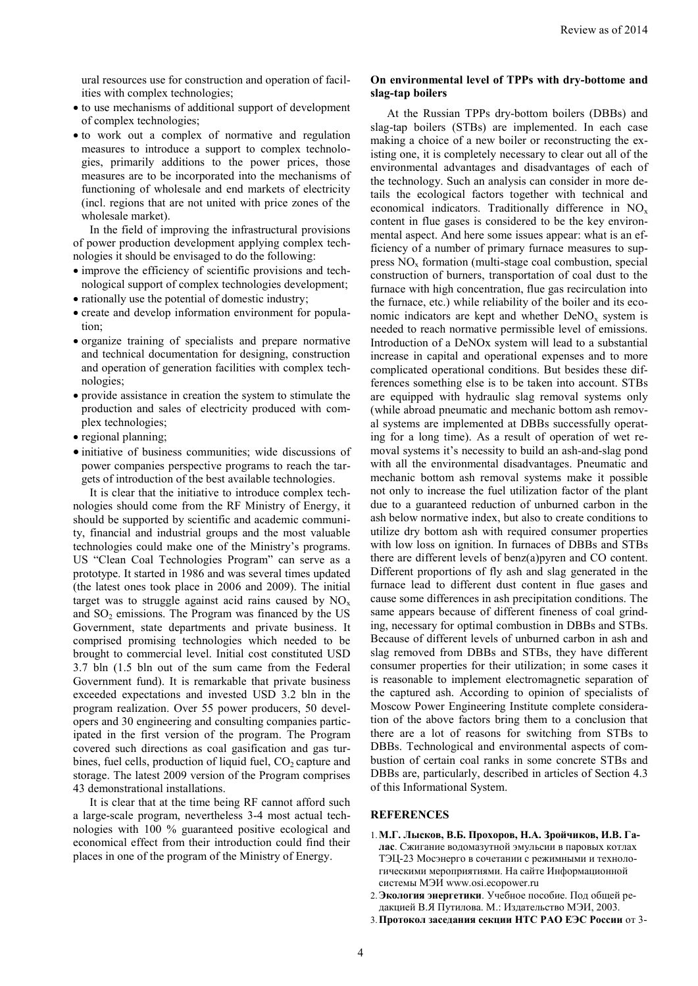ural resources use for construction and operation of facilities with complex technologies;

- to use mechanisms of additional support of development of complex technologies;
- to work out a complex of normative and regulation measures to introduce a support to complex technologies, primarily additions to the power prices, those measures are to be incorporated into the mechanisms of functioning of wholesale and end markets of electricity (incl. regions that are not united with price zones of the wholesale market).

In the field of improving the infrastructural provisions of power production development applying complex technologies it should be envisaged to do the following:

- improve the efficiency of scientific provisions and technological support of complex technologies development;
- rationally use the potential of domestic industry;
- create and develop information environment for population;
- organize training of specialists and prepare normative and technical documentation for designing, construction and operation of generation facilities with complex technologies;
- provide assistance in creation the system to stimulate the production and sales of electricity produced with complex technologies;
- regional planning;
- $\bullet$  initiative of business communities; wide discussions of power companies perspective programs to reach the targets of introduction of the best available technologies.

It is clear that the initiative to introduce complex technologies should come from the RF Ministry of Energy, it should be supported by scientific and academic community, financial and industrial groups and the most valuable technologies could make one of the Ministry's programs. US "Clean Coal Technologies Program" can serve as a prototype. It started in 1986 and was several times updated (the latest ones took place in 2006 and 2009). The initial target was to struggle against acid rains caused by  $NO<sub>x</sub>$ and  $SO<sub>2</sub>$  emissions. The Program was financed by the US Government, state departments and private business. It comprised promising technologies which needed to be brought to commercial level. Initial cost constituted USD 3.7 bln (1.5 bln out of the sum came from the Federal Government fund). It is remarkable that private business exceeded expectations and invested USD 3.2 bln in the program realization. Over 55 power producers, 50 developers and 30 engineering and consulting companies participated in the first version of the program. The Program covered such directions as coal gasification and gas turbines, fuel cells, production of liquid fuel,  $CO<sub>2</sub>$  capture and storage. The latest 2009 version of the Program comprises 43 demonstrational installations.

It is clear that at the time being RF cannot afford such a large-scale program, nevertheless 3-4 most actual technologies with 100 % guaranteed positive ecological and economical effect from their introduction could find their places in one of the program of the Ministry of Energy.

# **Оn environmental level of TPPs with dry-bottome and slag-tap boilers**

At the Russian TPPs dry-bottom boilers (DBBs) and slag-tap boilers (STBs) are implemented. In each case making a choice of a new boiler or reconstructing the existing one, it is completely necessary to clear out all of the environmental advantages and disadvantages of each of the technology. Such an analysis can consider in more details the ecological factors together with technical and economical indicators. Traditionally difference in NO<sub>x</sub> content in flue gases is considered to be the key environmental aspect. And here some issues appear: what is an efficiency of a number of primary furnace measures to suppress  $NO<sub>x</sub>$  formation (multi-stage coal combustion, special construction of burners, transportation of coal dust to the furnace with high concentration, flue gas recirculation into the furnace, etc.) while reliability of the boiler and its economic indicators are kept and whether  $DeNO<sub>x</sub>$  system is needed to reach normative permissible level of emissions. Introduction of a DeNOx system will lead to a substantial increase in capital and operational expenses and to more complicated operational conditions. But besides these differences something else is to be taken into account. STBs are equipped with hydraulic slag removal systems only (while abroad pneumatic and mechanic bottom ash removal systems are implemented at DBBs successfully operating for a long time). As a result of operation of wet removal systems it's necessity to build an ash-and-slag pond with all the environmental disadvantages. Pneumatic and mechanic bottom ash removal systems make it possible not only to increase the fuel utilization factor of the plant due to a guaranteed reduction of unburned carbon in the ash below normative index, but also to create conditions to utilize dry bottom ash with required consumer properties with low loss on ignition. In furnaces of DBBs and STВs there are different levels of benz(a)pyren and CO content. Different proportions of fly ash and slag generated in the furnace lead to different dust content in flue gases and cause some differences in ash precipitation conditions. The same appears because of different fineness of coal grinding, necessary for optimal combustion in DBBs and STBs. Because of different levels of unburned carbon in ash and slag removed from DBBs and STВs, they have different consumer properties for their utilization; in some cases it is reasonable to implement electromagnetic separation of the captured ash. According to opinion of specialists of Moscow Power Engineering Institute complete consideration of the above factors bring them to a conclusion that there are a lot of reasons for switching from STBs to DBBs. Technological and environmental aspects of combustion of certain coal ranks in some concrete STBs and DBBs are, particularly, described in articles of Section 4.3 of this Informational System.

### **REFERENCES**

- 1.**М.Г. Лысков, В.Б. Прохоров, Н.А. Зройчиков, И.В. Галас**. Сжигание водомазутной эмульсии в паровых котлах ТЭЦ-23 Мосэнерго в сочетании с режимными и технологическими мероприятиями. На сайте Информационной системы МЭИ www.osi.ecopower.ru
- 2.**Экология энергетики**. Учебное пособие. Под общей редакцией В.Я Путилова. М.: Издательство МЭИ, 2003.
- 3.**Протокол заседания секции НТС РАО ЕЭС России** от 3-